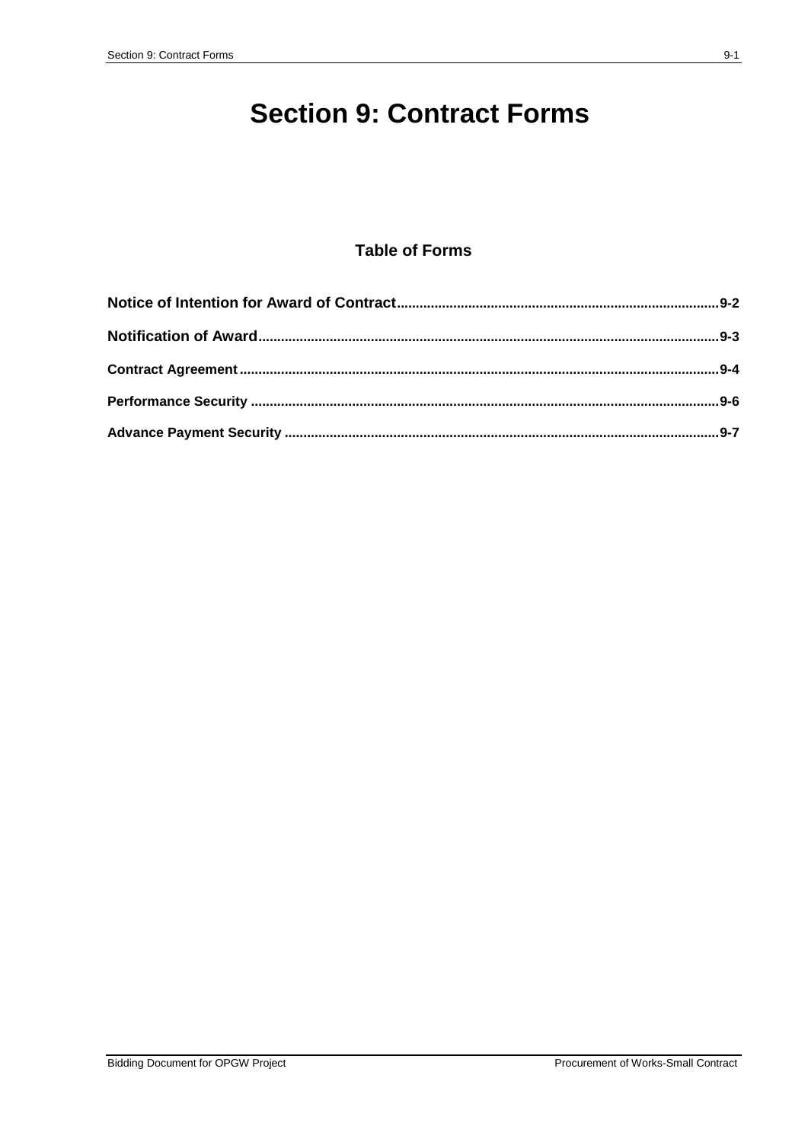# **Section 9: Contract Forms**

## **Table of Forms**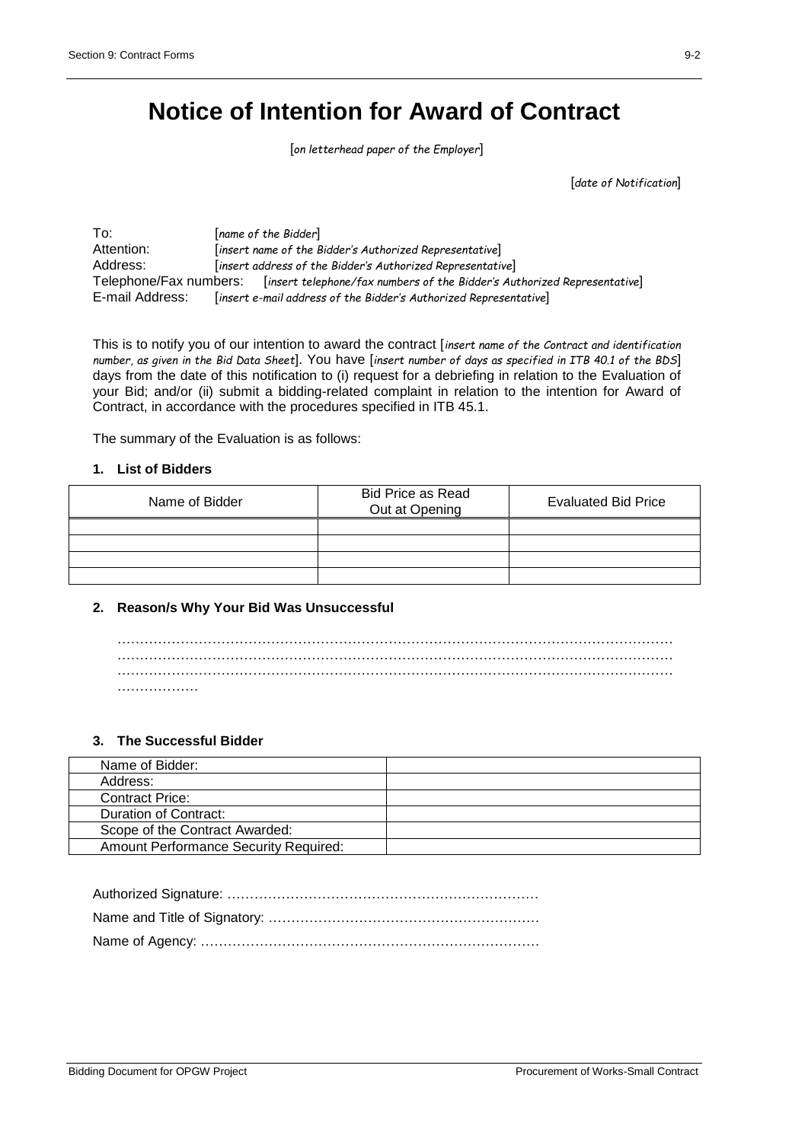## **Notice of Intention for Award of Contract**

[*on letterhead paper of the Employer*]

[*date of Notification*]

To: [*name of the Bidder*] Attention: [*insert name of the Bidder's Authorized Representative*] Address: [*insert address of the Bidder's Authorized Representative*] Telephone/Fax numbers: [*insert telephone/fax numbers of the Bidder's Authorized Representative*] E-mail Address: [*insert e-mail address of the Bidder's Authorized Representative*]

This is to notify you of our intention to award the contract [*insert name of the Contract and identification number, as given in the Bid Data Sheet*]. You have [*insert number of days as specified in ITB 40.1 of the BDS*] days from the date of this notification to (i) request for a debriefing in relation to the Evaluation of your Bid; and/or (ii) submit a bidding-related complaint in relation to the intention for Award of Contract, in accordance with the procedures specified in ITB 45.1.

The summary of the Evaluation is as follows:

### **1. List of Bidders**

| Name of Bidder | <b>Bid Price as Read</b><br>Out at Opening | <b>Evaluated Bid Price</b> |
|----------------|--------------------------------------------|----------------------------|
|                |                                            |                            |
|                |                                            |                            |
|                |                                            |                            |
|                |                                            |                            |

### **2. Reason/s Why Your Bid Was Unsuccessful**

| . |  |  |  |  |  |
|---|--|--|--|--|--|

### **3. The Successful Bidder**

| Name of Bidder:                              |  |
|----------------------------------------------|--|
| Address:                                     |  |
| <b>Contract Price:</b>                       |  |
| Duration of Contract:                        |  |
| Scope of the Contract Awarded:               |  |
| <b>Amount Performance Security Required:</b> |  |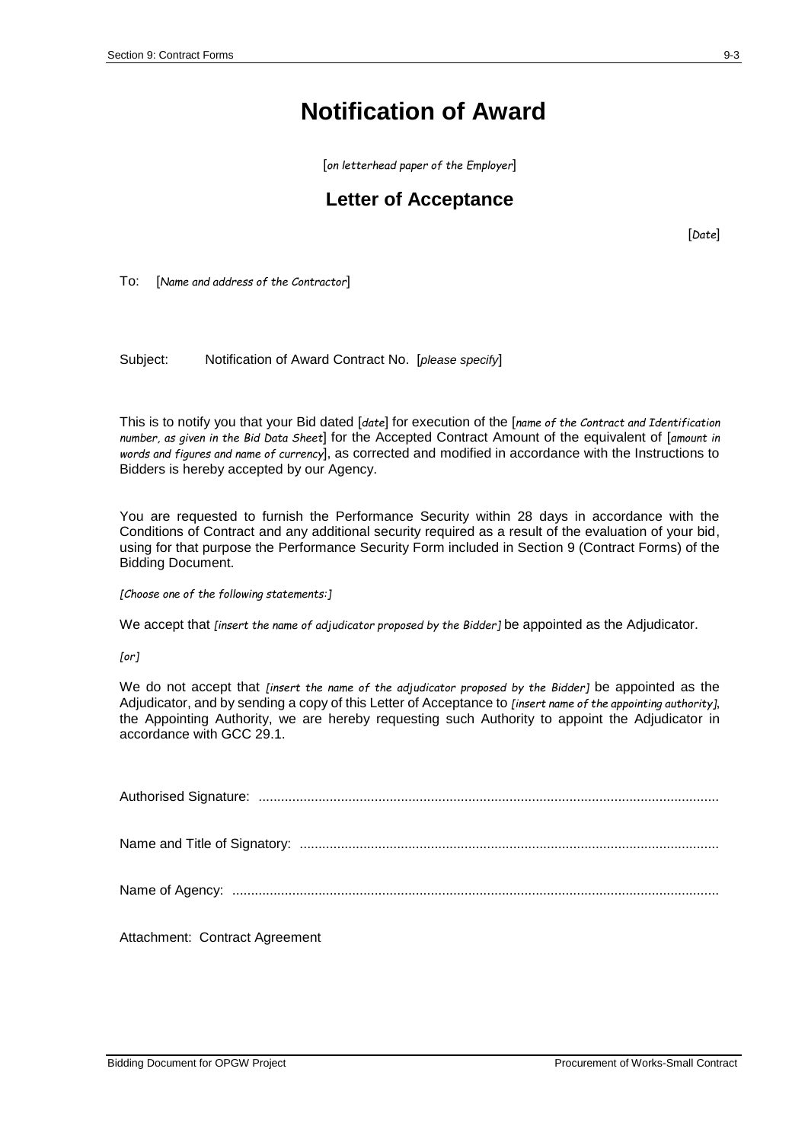# **Notification of Award**

[*on letterhead paper of the Employer*]

## **Letter of Acceptance**

[*Date*]

To: [*Name and address of the Contractor*]

Subject: Notification of Award Contract No. [*please specify*]

This is to notify you that your Bid dated [*date*] for execution of the [*name of the Contract and Identification number, as given in the Bid Data Sheet*] for the Accepted Contract Amount of the equivalent of [*amount in words and figures and name of currency*], as corrected and modified in accordance with the Instructions to Bidders is hereby accepted by our Agency.

You are requested to furnish the Performance Security within 28 days in accordance with the Conditions of Contract and any additional security required as a result of the evaluation of your bid, using for that purpose the Performance Security Form included in Section 9 (Contract Forms) of the Bidding Document.

*[Choose one of the following statements:]*

We accept that *[insert the name of adjudicator proposed by the Bidder]* be appointed as the Adjudicator.

*[or]*

We do not accept that *[insert the name of the adjudicator proposed by the Bidder]* be appointed as the Adjudicator, and by sending a copy of this Letter of Acceptance to *[insert name of the appointing authority]*, the Appointing Authority, we are hereby requesting such Authority to appoint the Adjudicator in accordance with GCC 29.1.

| Attachment: Contract Agreement |
|--------------------------------|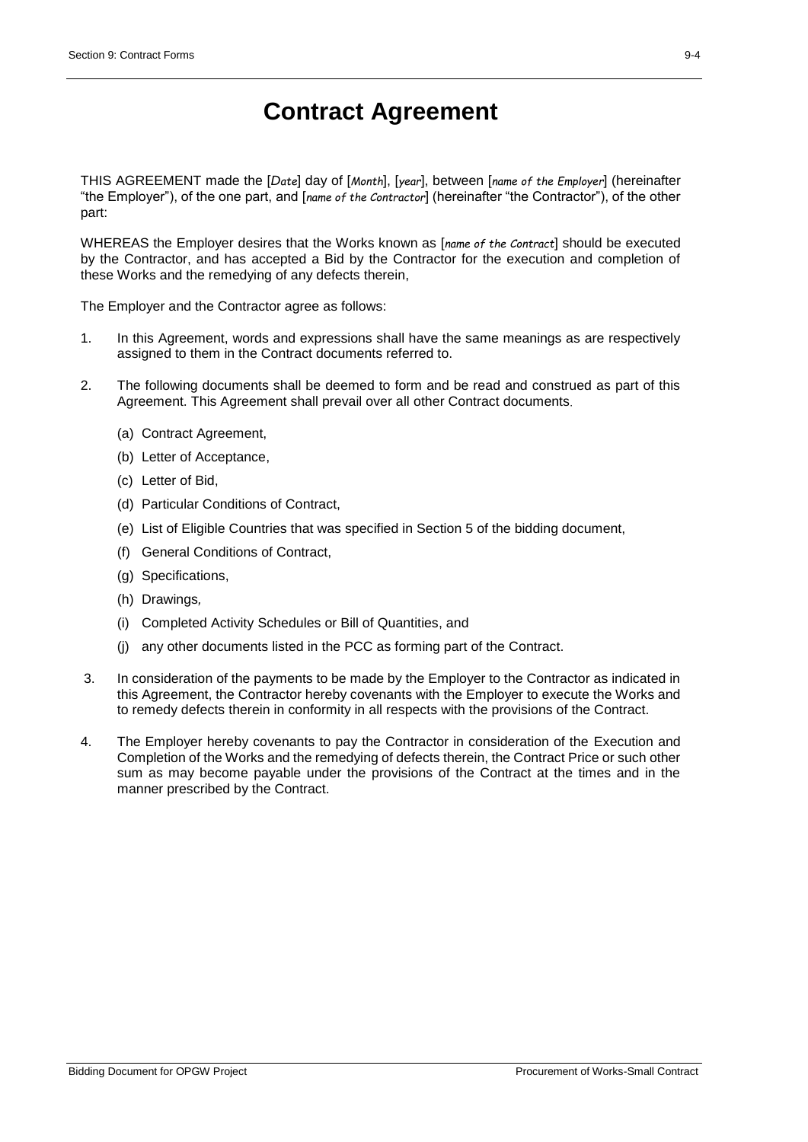# **Contract Agreement**

THIS AGREEMENT made the [*Date*] day of [*Month*], [*year*], between [*name of the Employer*] (hereinafter "the Employer"), of the one part, and [*name of the Contractor*] (hereinafter "the Contractor"), of the other part:

WHEREAS the Employer desires that the Works known as [*name of the Contract*] should be executed by the Contractor, and has accepted a Bid by the Contractor for the execution and completion of these Works and the remedying of any defects therein,

The Employer and the Contractor agree as follows:

- 1. In this Agreement, words and expressions shall have the same meanings as are respectively assigned to them in the Contract documents referred to.
- 2. The following documents shall be deemed to form and be read and construed as part of this Agreement. This Agreement shall prevail over all other Contract documents.
	- (a) Contract Agreement,
	- (b) Letter of Acceptance,
	- (c) Letter of Bid,
	- (d) Particular Conditions of Contract,
	- (e) List of Eligible Countries that was specified in Section 5 of the bidding document,
	- (f) General Conditions of Contract,
	- (g) Specifications,
	- (h) Drawings*,*
	- (i) Completed Activity Schedules or Bill of Quantities, and
	- (j) any other documents listed in the PCC as forming part of the Contract.
- 3. In consideration of the payments to be made by the Employer to the Contractor as indicated in this Agreement, the Contractor hereby covenants with the Employer to execute the Works and to remedy defects therein in conformity in all respects with the provisions of the Contract.
- 4. The Employer hereby covenants to pay the Contractor in consideration of the Execution and Completion of the Works and the remedying of defects therein, the Contract Price or such other sum as may become payable under the provisions of the Contract at the times and in the manner prescribed by the Contract.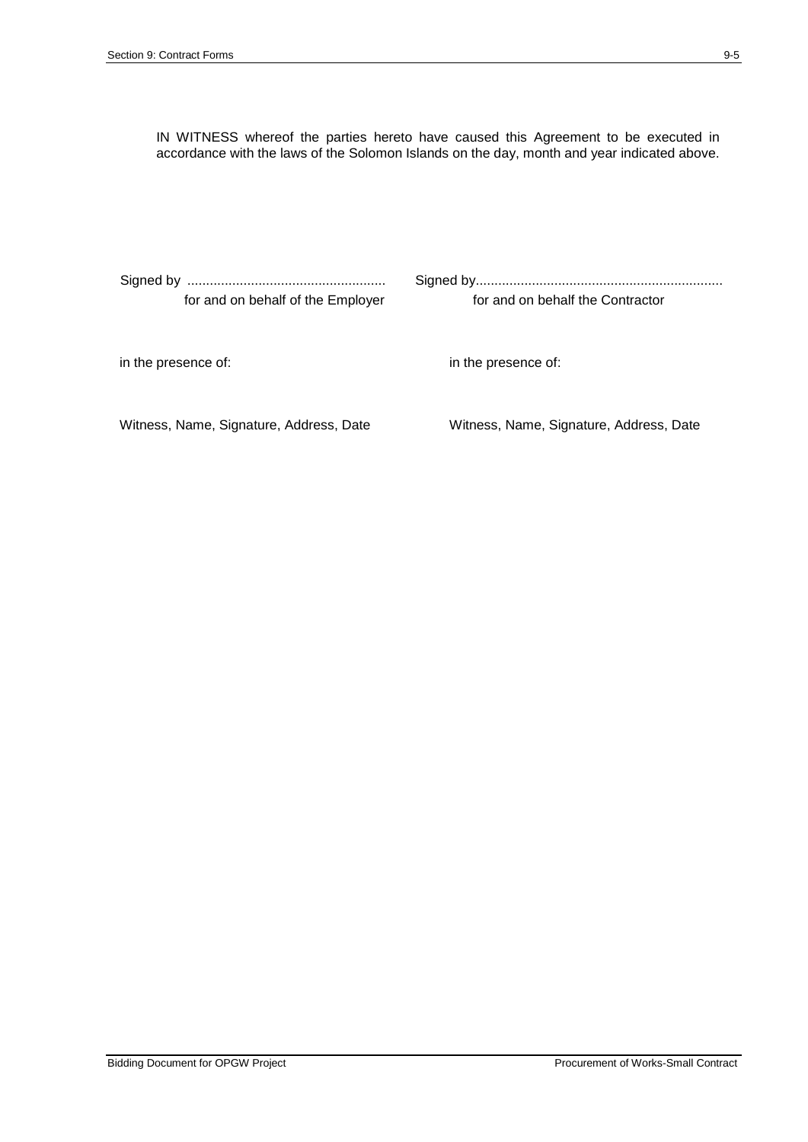IN WITNESS whereof the parties hereto have caused this Agreement to be executed in accordance with the laws of the Solomon Islands on the day, month and year indicated above.

| for and on behalf the Contractor        |
|-----------------------------------------|
| in the presence of:                     |
| Witness, Name, Signature, Address, Date |
|                                         |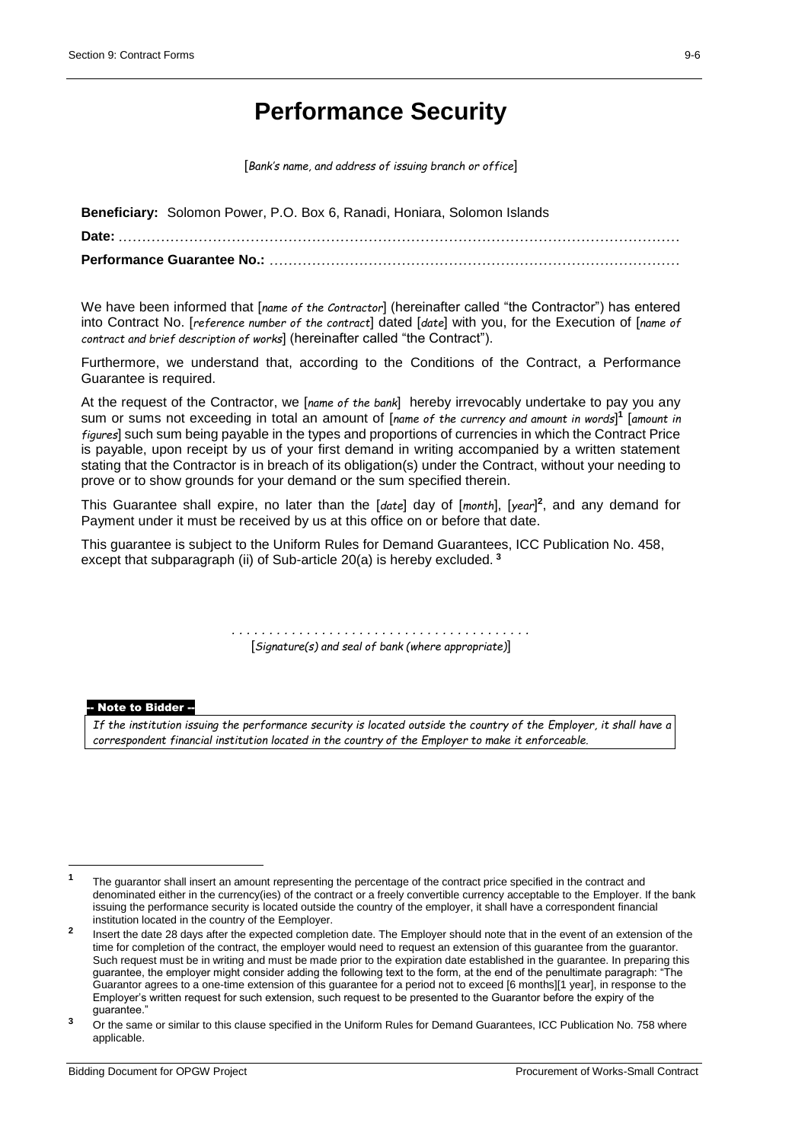## **Performance Security**

[*Bank's name, and address of issuing branch or office*]

**Beneficiary:** Solomon Power, P.O. Box 6, Ranadi, Honiara, Solomon Islands **Date:** *.......................................................................................................................* **Performance Guarantee No.:** *.......................................................................................*

We have been informed that [*name of the Contractor*] (hereinafter called "the Contractor") has entered into Contract No. [*reference number of the contract*] dated [*date*] with you, for the Execution of [*name of contract and brief description of works*] (hereinafter called "the Contract").

Furthermore, we understand that, according to the Conditions of the Contract, a Performance Guarantee is required.

At the request of the Contractor, we [*name of the bank*] hereby irrevocably undertake to pay you any sum or sums not exceeding in total an amount of [*name of the currency and amount in words*] **1** [*amount in figures*] such sum being payable in the types and proportions of currencies in which the Contract Price is payable, upon receipt by us of your first demand in writing accompanied by a written statement stating that the Contractor is in breach of its obligation(s) under the Contract, without your needing to prove or to show grounds for your demand or the sum specified therein.

This Guarantee shall expire, no later than the [*date*] day of [*month*], [*year*] **2** , and any demand for Payment under it must be received by us at this office on or before that date.

This guarantee is subject to the Uniform Rules for Demand Guarantees, ICC Publication No. 458, except that subparagraph (ii) of Sub-article 20(a) is hereby excluded. **<sup>3</sup>**

> *. . . . . . . . . . . . . . . . . . . . . . . . . . . . . . . . . . . . . . . .*  [*Signature(s) and seal of bank (where appropriate)*]

#### -- Note to Bidder --

 $\overline{a}$ 

*If the institution issuing the performance security is located outside the country of the Employer, it shall have a correspondent financial institution located in the country of the Employer to make it enforceable.*

**<sup>1</sup>** The guarantor shall insert an amount representing the percentage of the contract price specified in the contract and denominated either in the currency(ies) of the contract or a freely convertible currency acceptable to the Employer. If the bank issuing the performance security is located outside the country of the employer, it shall have a correspondent financial institution located in the country of the Eemployer.

**<sup>2</sup>** Insert the date 28 days after the expected completion date. The Employer should note that in the event of an extension of the time for completion of the contract, the employer would need to request an extension of this guarantee from the guarantor. Such request must be in writing and must be made prior to the expiration date established in the guarantee. In preparing this guarantee, the employer might consider adding the following text to the form, at the end of the penultimate paragraph: "The Guarantor agrees to a one-time extension of this guarantee for a period not to exceed [6 months][1 year], in response to the Employer's written request for such extension, such request to be presented to the Guarantor before the expiry of the guarantee."

<sup>&</sup>lt;sup>3</sup> Or the same or similar to this clause specified in the Uniform Rules for Demand Guarantees, ICC Publication No. 758 where applicable.